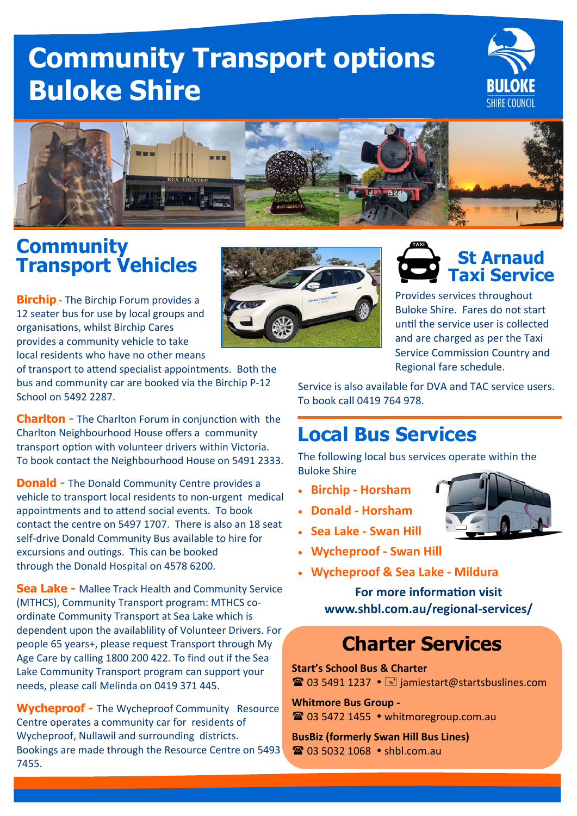# **Community Transport options Buloke Shire**





#### **Community Transport Vehicles**

**Birchip ‐** The Birchip Forum provides a 12 seater bus for use by local groups and organisations, whilst Birchip Cares provides a community vehicle to take local residents who have no other means

of transport to attend specialist appointments. Both the bus and community car are booked via the Birchip P‐12 School on 5492 2287.

**Charlton -** The Charlton Forum in conjunction with the Charlton Neighbourhood House offers a community transport option with volunteer drivers within Victoria. To book contact the Neighbourhood House on 5491 2333.

**Donald -** The Donald Community Centre provides a vehicle to transport local residents to non‐urgent medical appointments and to attend social events. To book contact the centre on 5497 1707. There is also an 18 seat self‐drive Donald Community Bus available to hire for excursions and outings. This can be booked through the Donald Hospital on 4578 6200.

**Sea Lake - Mallee Track Health and Community Service** (MTHCS), Community Transport program: MTHCS coordinate Community Transport at Sea Lake which is dependent upon the availablility of Volunteer Drivers. For people 65 years+, please request Transport through My Age Care by calling 1800 200 422. To find out if the Sea Lake Community Transport program can support your needs, please call Melinda on 0419 371 445.

**Wycheproof -** The Wycheproof Community Resource Centre operates a community car for residents of Wycheproof, Nullawil and surrounding districts. Bookings are made through the Resource Centre on 5493 7455.





Provides services throughout Buloke Shire. Fares do not start until the service user is collected and are charged as per the Taxi Service Commission Country and Regional fare schedule.

Service is also available for DVA and TAC service users. To book call 0419 764 978.

## **Local Bus Services**

The following local bus services operate within the Buloke Shire

- **Birchip ‐ Horsham**
- **Donald ‐ Horsham**
- **Sea Lake ‐ Swan Hill**
- **Wycheproof ‐ Swan Hill**
- **Wycheproof & Sea Lake ‐ Mildura**

**For more informaƟon visit www.shbl.com.au/regional‐services/** 

## **Charter Services**

**Start's School Bus & Charter**  $\mathbf{\widehat{a}}$  03 5491 1237  $\cdot$   $\equiv$  jamiestart@startsbuslines.com

**Whitmore Bus Group ‐ ■ 03 5472 1455 · whitmoregroup.com.au** 

**BusBiz (formerly Swan Hill Bus Lines)** ■ 03 5032 1068 • shbl.com.au